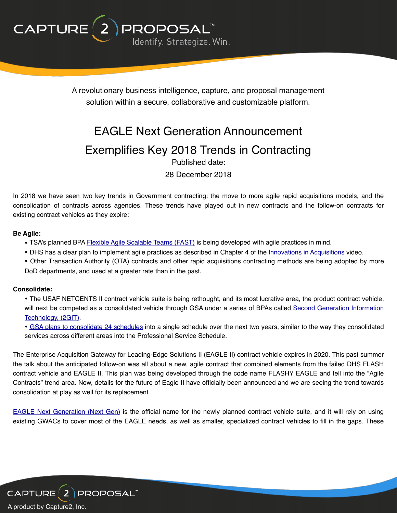

A revolutionary business intelligence, capture, and proposal management solution within a secure, collaborative and customizable platform.

# EAGLE Next Generation Announcement Exemplifies Key 2018 Trends in Contracting Published date:

28 December 2018

In 2018 we have seen two key trends in Government contracting: the move to more agile rapid acquisitions models, and the consolidation of contracts across agencies. These trends have played out in new contracts and the follow-on contracts for existing contract vehicles as they expire:

#### **Be Agile:**

- TSA's planned BPA [Flexible Agile Scalable Teams \(FAST\)](https://www.fbo.gov/index?s=opportunity&mode=form&id=84f5f4d1a78ed703dea3b4a780fa3871&tab=core&_cview=0) is being developed with agile practices in mind.
- DHS has a clear plan to implement agile practices as described in Chapter 4 of the [Innovations in Acquisitions](https://www.fai.gov/media_library/items/show/140) video.
- Other Transaction Authority (OTA) contracts and other rapid acquisitions contracting methods are being adopted by more DoD departments, and used at a greater rate than in the past.

#### **Consolidate:**

• The USAF NETCENTS II contract vehicle suite is being rethought, and its most lucrative area, the product contract vehicle, will next be competed as a consolidated vehicle through GSA under a series of BPAs called [Second Generation Information](https://www.fbo.gov/index?s=opportunity&mode=form&tab=core&id=35c6e3ef51d466d76ec9c42a91a92253) [Technology, \(2GIT\)](https://www.fbo.gov/index?s=opportunity&mode=form&tab=core&id=35c6e3ef51d466d76ec9c42a91a92253).

• [GSA plans to consolidate 24 schedules](https://www.gsa.gov/about-us/newsroom/news-releases/gsa-announces-transformation-of-multiple-awards-schedules) into a single schedule over the next two years, similar to the way they consolidated services across different areas into the Professional Service Schedule.

The Enterprise Acquisition Gateway for Leading-Edge Solutions II (EAGLE II) contract vehicle expires in 2020. This past summer the talk about the anticipated follow-on was all about a new, agile contract that combined elements from the failed DHS FLASH contract vehicle and EAGLE II. This plan was being developed through the code name FLASHY EAGLE and fell into the "Agile Contracts" trend area. Now, details for the future of Eagle II have officially been announced and we are seeing the trend towards consolidation at play as well for its replacement.

[EAGLE Next Generation \(Next Gen\)](https://www.dhs.gov/news/2018/12/17/eagle-ii-determination) is the official name for the newly planned contract vehicle suite, and it will rely on using existing GWACs to cover most of the EAGLE needs, as well as smaller, specialized contract vehicles to fill in the gaps. These

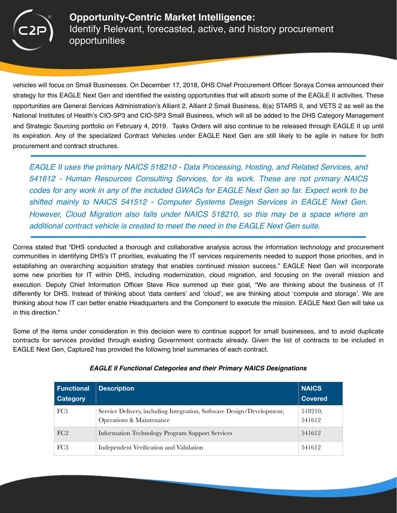

vehicles will focus on Small Businesses. On December 17, 2018, DHS Chief Procurement Officer Soraya Correa announced their strategy for this EAGLE Next Gen and identified the existing opportunities that will absorb some of the EAGLE II activities. These opportunities are General Services Administration's Alliant 2, Alliant 2 Small Business, 8(a) STARS II, and VETS 2 as well as the National Institutes of Health's CIO-SP3 and CIO-SP3 Small Business, which will all be added to the DHS Category Management and Strategic Sourcing portfolio on February 4, 2019. Tasks Orders will also continue to be released through EAGLE II up until its expiration. Any of the specialized Contract Vehicles under EAGLE Next Gen are still likely to be agile in nature for both procurement and contract structures.

*EAGLE II uses the primary NAICS 518210 - Data Processing, Hosting, and Related Services, and 541612 - Human Resources Consulting Services, for its work. These are not primary NAICS codes for any work in any of the included GWACs for EAGLE Next Gen so far. Expect work to be shifted mainly to NAICS 541512 - Computer Systems Design Services in EAGLE Next Gen. However, Cloud Migration also falls under NAICS 518210, so this may be a space where an additional contract vehicle is created to meet the need in the EAGLE Next Gen suite.*

Correa stated that "DHS conducted a thorough and collaborative analysis across the information technology and procurement communities in identifying DHS's IT priorities, evaluating the IT services requirements needed to support those priorities, and in establishing an overarching acquisition strategy that enables continued mission success." EAGLE Next Gen will incorporate some new priorities for IT within DHS, including modernization, cloud migration, and focusing on the overall mission and execution. Deputy Chief Information Officer Steve Rice summed up their goal, "We are thinking about the business of IT differently for DHS. Instead of thinking about 'data centers' and 'cloud', we are thinking about 'compute and storage'. We are thinking about how IT can better enable Headquarters and the Component to execute the mission. EAGLE Next Gen will take us in this direction."

Some of the items under consideration in this decision were to continue support for small businesses, and to avoid duplicate contracts for services provided through existing Government contracts already. Given the list of contracts to be included in EAGLE Next Gen, Capture2 has provided the following brief summaries of each contract.

| <b>Functional</b><br><b>Category</b> | <b>Description</b>                                                                                | <b>NAICS</b><br><b>Covered</b> |
|--------------------------------------|---------------------------------------------------------------------------------------------------|--------------------------------|
| FC1                                  | Service Delivery, including Integration, Software Design/Development,<br>Operations & Maintenance | 518210,<br>541612              |
| FC2                                  | <b>Information Technology Program Support Services</b>                                            | 541612                         |
| FC <sub>3</sub>                      | Independent Verification and Validation                                                           | 541612                         |

## *EAGLE II Functional Categories and their Primary NAICS Designations*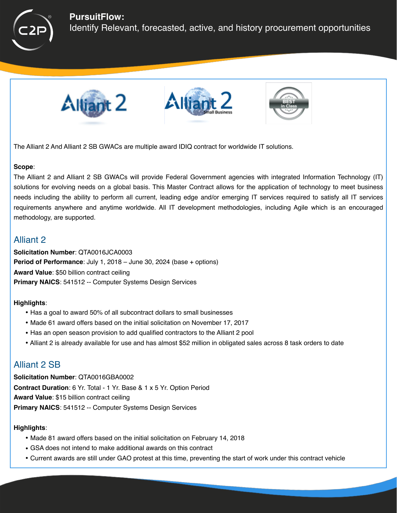

## **PursuitFlow:**

Identify Relevant, forecasted, active, and history procurement opportunities







The Alliant 2 And Alliant 2 SB GWACs are multiple award IDIQ contract for worldwide IT solutions.

#### **Scope**:

The Alliant 2 and Alliant 2 SB GWACs will provide Federal Government agencies with integrated Information Technology (IT) solutions for evolving needs on a global basis. This Master Contract allows for the application of technology to meet business needs including the ability to perform all current, leading edge and/or emerging IT services required to satisfy all IT services requirements anywhere and anytime worldwide. All IT development methodologies, including Agile which is an encouraged methodology, are supported.

# Alliant 2

**Solicitation Number**: QTA0016JCA0003 **Period of Performance**: July 1, 2018 – June 30, 2024 (base + options) **Award Value**: \$50 billion contract ceiling **Primary NAICS**: 541512 -- Computer Systems Design Services

## **Highlights**:

- Has a goal to award 50% of all subcontract dollars to small businesses
- Made 61 award offers based on the initial solicitation on November 17, 2017
- Has an open season provision to add qualified contractors to the Alliant 2 pool
- Alliant 2 is already available for use and has almost \$52 million in obligated sales across 8 task orders to date

# Alliant 2 SB

**Solicitation Number**: QTA0016GBA0002 **Contract Duration**: 6 Yr. Total - 1 Yr. Base & 1 x 5 Yr. Option Period **Award Value**: \$15 billion contract ceiling **Primary NAICS**: 541512 -- Computer Systems Design Services

#### **Highlights**:

- Made 81 award offers based on the initial solicitation on February 14, 2018
- GSA does not intend to make additional awards on this contract
- Current awards are still under GAO protest at this time, preventing the start of work under this contract vehicle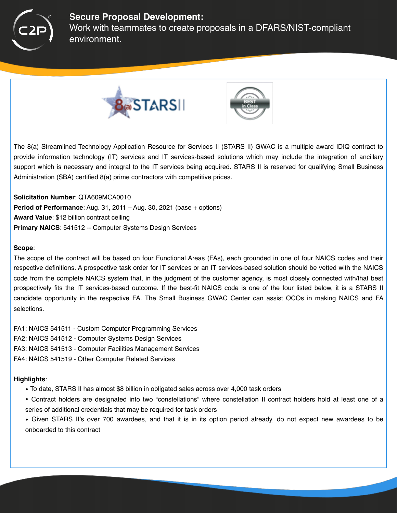

## **Secure Proposal Development:**

Work with teammates to create proposals in a DFARS/NIST-compliant environment.





The 8(a) Streamlined Technology Application Resource for Services II (STARS II) GWAC is a multiple award IDIQ contract to provide information technology (IT) services and IT services-based solutions which may include the integration of ancillary support which is necessary and integral to the IT services being acquired. STARS II is reserved for qualifying Small Business Administration (SBA) certified 8(a) prime contractors with competitive prices.

**Solicitation Number**: QTA609MCA0010 **Period of Performance**: Aug. 31, 2011 – Aug. 30, 2021 (base + options) **Award Value**: \$12 billion contract ceiling **Primary NAICS**: 541512 -- Computer Systems Design Services

#### **Scope**:

The scope of the contract will be based on four Functional Areas (FAs), each grounded in one of four NAICS codes and their respective definitions. A prospective task order for IT services or an IT services-based solution should be vetted with the NAICS code from the complete NAICS system that, in the judgment of the customer agency, is most closely connected with/that best prospectively fits the IT services-based outcome. If the best-fit NAICS code is one of the four listed below, it is a STARS II candidate opportunity in the respective FA. The Small Business GWAC Center can assist OCOs in making NAICS and FA selections.

- FA1: NAICS 541511 Custom Computer Programming Services
- FA2: NAICS 541512 Computer Systems Design Services
- FA3: NAICS 541513 Computer Facilities Management Services
- FA4: NAICS 541519 Other Computer Related Services

#### **Highlights**:

- To date, STARS II has almost \$8 billion in obligated sales across over 4,000 task orders
- Contract holders are designated into two "constellations" where constellation II contract holders hold at least one of a series of additional credentials that may be required for task orders
- Given STARS II's over 700 awardees, and that it is in its option period already, do not expect new awardees to be onboarded to this contract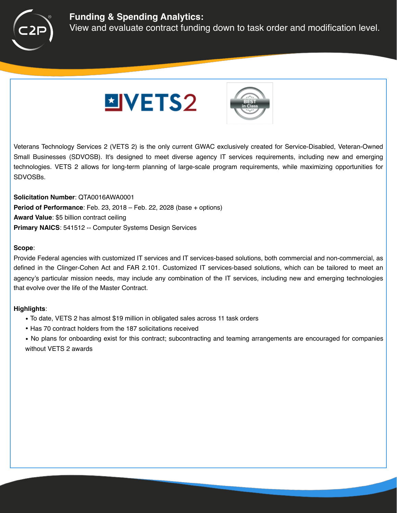

# **Funding & Spending Analytics:**

View and evaluate contract funding down to task order and modification level.





Veterans Technology Services 2 (VETS 2) is the only current GWAC exclusively created for Service-Disabled, Veteran-Owned Small Businesses (SDVOSB). It's designed to meet diverse agency IT services requirements, including new and emerging technologies. VETS 2 allows for long-term planning of large-scale program requirements, while maximizing opportunities for SDVOSBs.

**Solicitation Number**: QTA0016AWA0001 **Period of Performance**: Feb. 23, 2018 – Feb. 22, 2028 (base + options) **Award Value**: \$5 billion contract ceiling **Primary NAICS**: 541512 -- Computer Systems Design Services

#### **Scope**:

Provide Federal agencies with customized IT services and IT services-based solutions, both commercial and non-commercial, as defined in the Clinger-Cohen Act and FAR 2.101. Customized IT services-based solutions, which can be tailored to meet an agency's particular mission needs, may include any combination of the IT services, including new and emerging technologies that evolve over the life of the Master Contract.

## **Highlights**:

- To date, VETS 2 has almost \$19 million in obligated sales across 11 task orders
- Has 70 contract holders from the 187 solicitations received
- No plans for onboarding exist for this contract; subcontracting and teaming arrangements are encouraged for companies without VETS 2 awards